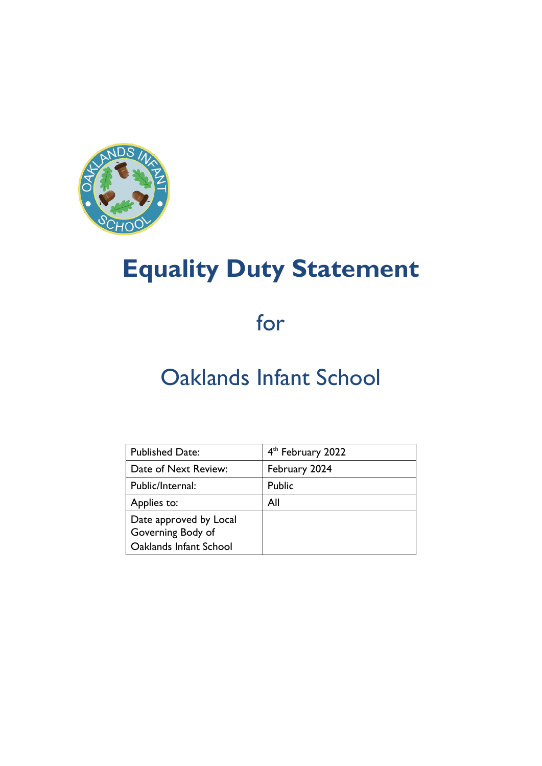

# **Equality Duty Statement**

for

## Oaklands Infant School

| <b>Published Date:</b>                                                | 4 <sup>th</sup> February 2022 |
|-----------------------------------------------------------------------|-------------------------------|
| Date of Next Review:                                                  | February 2024                 |
| Public/Internal:                                                      | Public                        |
| Applies to:                                                           | All                           |
| Date approved by Local<br>Governing Body of<br>Oaklands Infant School |                               |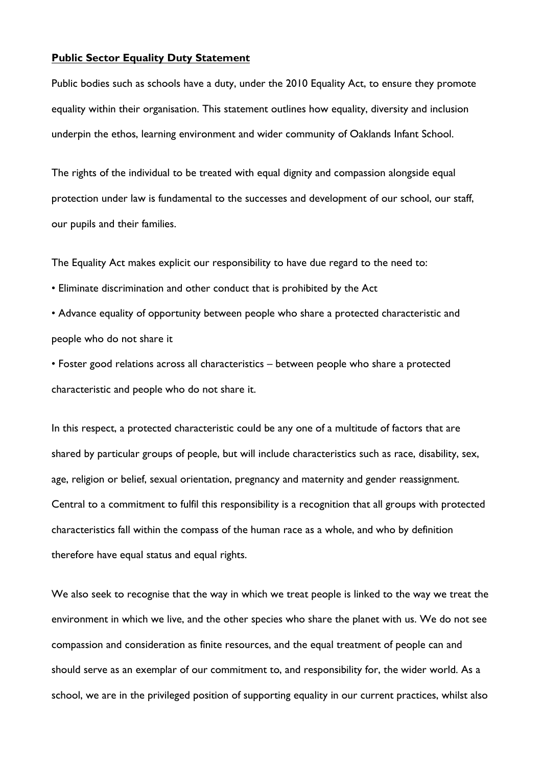#### **Public Sector Equality Duty Statement**

Public bodies such as schools have a duty, under the 2010 Equality Act, to ensure they promote equality within their organisation. This statement outlines how equality, diversity and inclusion underpin the ethos, learning environment and wider community of Oaklands Infant School.

The rights of the individual to be treated with equal dignity and compassion alongside equal protection under law is fundamental to the successes and development of our school, our staff, our pupils and their families.

The Equality Act makes explicit our responsibility to have due regard to the need to:

• Eliminate discrimination and other conduct that is prohibited by the Act

• Advance equality of opportunity between people who share a protected characteristic and people who do not share it

• Foster good relations across all characteristics – between people who share a protected characteristic and people who do not share it.

In this respect, a protected characteristic could be any one of a multitude of factors that are shared by particular groups of people, but will include characteristics such as race, disability, sex, age, religion or belief, sexual orientation, pregnancy and maternity and gender reassignment. Central to a commitment to fulfil this responsibility is a recognition that all groups with protected characteristics fall within the compass of the human race as a whole, and who by definition therefore have equal status and equal rights.

We also seek to recognise that the way in which we treat people is linked to the way we treat the environment in which we live, and the other species who share the planet with us. We do not see compassion and consideration as finite resources, and the equal treatment of people can and should serve as an exemplar of our commitment to, and responsibility for, the wider world. As a school, we are in the privileged position of supporting equality in our current practices, whilst also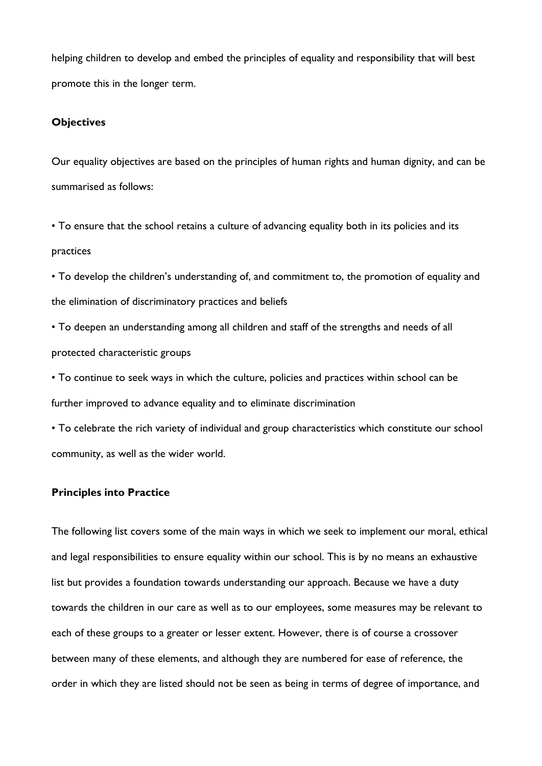helping children to develop and embed the principles of equality and responsibility that will best promote this in the longer term.

#### **Objectives**

Our equality objectives are based on the principles of human rights and human dignity, and can be summarised as follows:

• To ensure that the school retains a culture of advancing equality both in its policies and its practices

• To develop the children's understanding of, and commitment to, the promotion of equality and the elimination of discriminatory practices and beliefs

• To deepen an understanding among all children and staff of the strengths and needs of all protected characteristic groups

• To continue to seek ways in which the culture, policies and practices within school can be further improved to advance equality and to eliminate discrimination

• To celebrate the rich variety of individual and group characteristics which constitute our school community, as well as the wider world.

### **Principles into Practice**

The following list covers some of the main ways in which we seek to implement our moral, ethical and legal responsibilities to ensure equality within our school. This is by no means an exhaustive list but provides a foundation towards understanding our approach. Because we have a duty towards the children in our care as well as to our employees, some measures may be relevant to each of these groups to a greater or lesser extent. However, there is of course a crossover between many of these elements, and although they are numbered for ease of reference, the order in which they are listed should not be seen as being in terms of degree of importance, and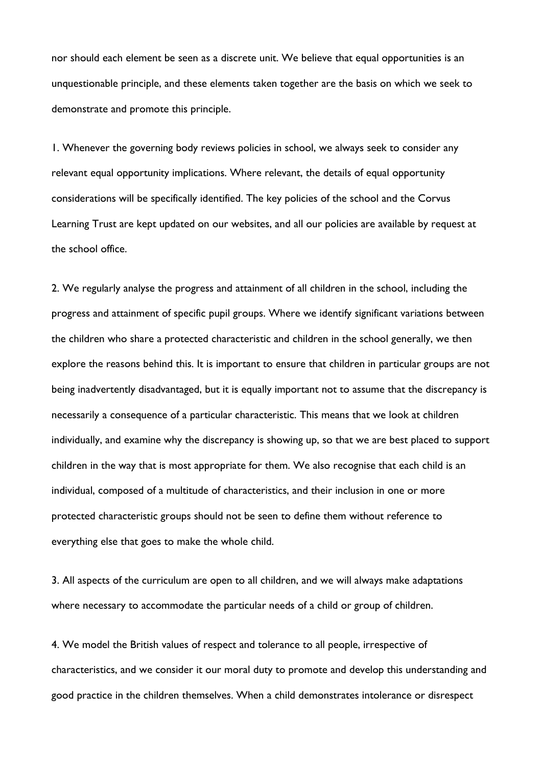nor should each element be seen as a discrete unit. We believe that equal opportunities is an unquestionable principle, and these elements taken together are the basis on which we seek to demonstrate and promote this principle.

1. Whenever the governing body reviews policies in school, we always seek to consider any relevant equal opportunity implications. Where relevant, the details of equal opportunity considerations will be specifically identified. The key policies of the school and the Corvus Learning Trust are kept updated on our websites, and all our policies are available by request at the school office.

2. We regularly analyse the progress and attainment of all children in the school, including the progress and attainment of specific pupil groups. Where we identify significant variations between the children who share a protected characteristic and children in the school generally, we then explore the reasons behind this. It is important to ensure that children in particular groups are not being inadvertently disadvantaged, but it is equally important not to assume that the discrepancy is necessarily a consequence of a particular characteristic. This means that we look at children individually, and examine why the discrepancy is showing up, so that we are best placed to support children in the way that is most appropriate for them. We also recognise that each child is an individual, composed of a multitude of characteristics, and their inclusion in one or more protected characteristic groups should not be seen to define them without reference to everything else that goes to make the whole child.

3. All aspects of the curriculum are open to all children, and we will always make adaptations where necessary to accommodate the particular needs of a child or group of children.

4. We model the British values of respect and tolerance to all people, irrespective of characteristics, and we consider it our moral duty to promote and develop this understanding and good practice in the children themselves. When a child demonstrates intolerance or disrespect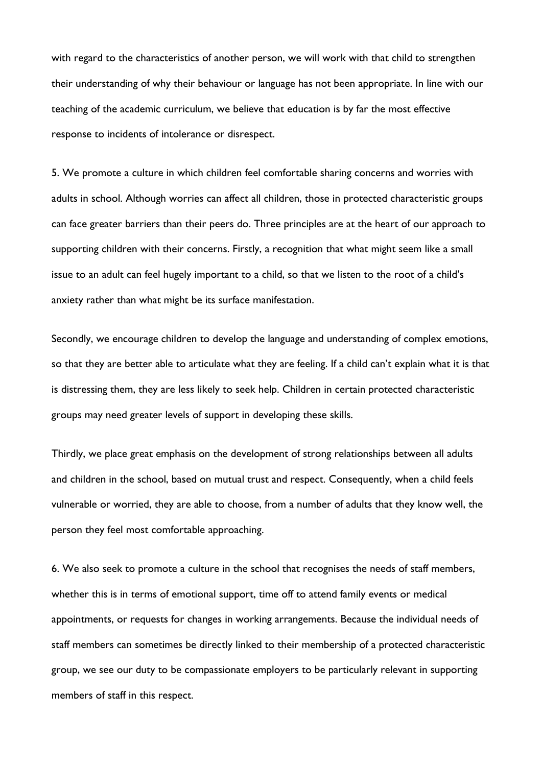with regard to the characteristics of another person, we will work with that child to strengthen their understanding of why their behaviour or language has not been appropriate. In line with our teaching of the academic curriculum, we believe that education is by far the most effective response to incidents of intolerance or disrespect.

5. We promote a culture in which children feel comfortable sharing concerns and worries with adults in school. Although worries can affect all children, those in protected characteristic groups can face greater barriers than their peers do. Three principles are at the heart of our approach to supporting children with their concerns. Firstly, a recognition that what might seem like a small issue to an adult can feel hugely important to a child, so that we listen to the root of a child's anxiety rather than what might be its surface manifestation.

Secondly, we encourage children to develop the language and understanding of complex emotions, so that they are better able to articulate what they are feeling. If a child can't explain what it is that is distressing them, they are less likely to seek help. Children in certain protected characteristic groups may need greater levels of support in developing these skills.

Thirdly, we place great emphasis on the development of strong relationships between all adults and children in the school, based on mutual trust and respect. Consequently, when a child feels vulnerable or worried, they are able to choose, from a number of adults that they know well, the person they feel most comfortable approaching.

6. We also seek to promote a culture in the school that recognises the needs of staff members, whether this is in terms of emotional support, time off to attend family events or medical appointments, or requests for changes in working arrangements. Because the individual needs of staff members can sometimes be directly linked to their membership of a protected characteristic group, we see our duty to be compassionate employers to be particularly relevant in supporting members of staff in this respect.